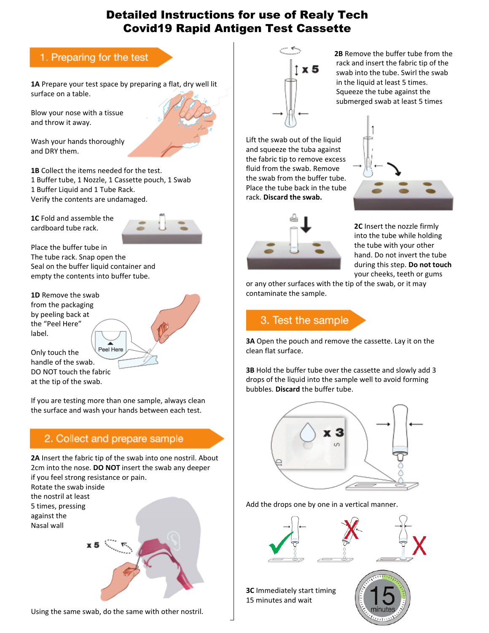## Detailed Instructions for use of Realy Tech Covid19 Rapid Antigen Test Cassette

### 1. Preparing for the test

**1A** Prepare your test space by preparing a flat, dry well lit surface on a table.

Blow your nose with a tissue and throw it away.

Wash your hands thoroughly and DRY them.

**1B** Collect the items needed for the test. 1 Buffer tube, 1 Nozzle, 1 Cassette pouch, 1 Swab 1 Buffer Liquid and 1 Tube Rack. Verify the contents are undamaged.

**1C** Fold and assemble the cardboard tube rack.



Place the buffer tube in The tube rack. Snap open the Seal on the buffer liquid container and empty the contents into buffer tube.

**1D** Remove the swab from the packaging by peeling back at the "Peel Here" label.

Peel Here Only touch the handle of the swab. DO NOT touch the fabric at the tip of the swab.

If you are testing more than one sample, always clean the surface and wash your hands between each test.

#### 2. Collect and prepare sample

**2A** Insert the fabric tip of the swab into one nostril. About 2cm into the nose. **DO NOT** insert the swab any deeper if you feel strong resistance or pain.

Rotate the swab inside the nostril at least 5 times, pressing against the Nasal wall



Using the same swab, do the same with other nostril.



 **2B** Remove the buffer tube from the rack and insert the fabric tip of the<br> $\overline{\phantom{a}}$  and interthe function finite the sure swab into the tube. Swirl the swab in the liquid at least 5 times. Squeeze the tube against the submerged swab at least 5 times

Lift the swab out of the liquid and squeeze the tuba against the fabric tip to remove excess fluid from the swab. Remove the swab from the buffer tube. Place the tube back in the tube rack. **Discard the swab.**



 **2C** Insert the nozzle firmly into the tube while holding the tube with your other hand. Do not invert the tube during this step. **Do not touch** your cheeks, teeth or gums

or any other surfaces with the tip of the swab, or it may contaminate the sample.

# 3. Test the sample

**3A** Open the pouch and remove the cassette. Lay it on the clean flat surface.

**3B** Hold the buffer tube over the cassette and slowly add 3 drops of the liquid into the sample well to avoid forming bubbles. **Discard** the buffer tube.



Add the drops one by one in a vertical manner.



**3C** Immediately start timing 15 minutes and wait